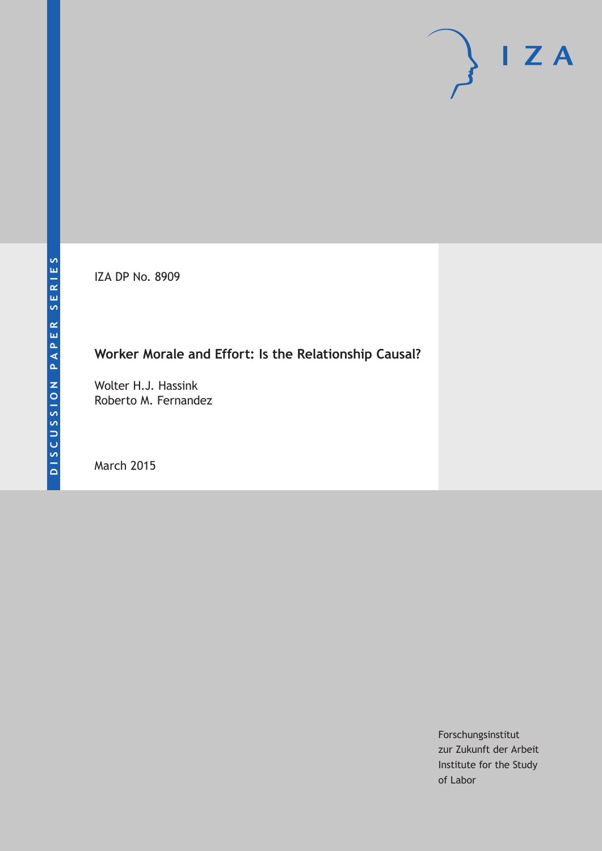IZA DP No. 8909

# **Worker Morale and Effort: Is the Relationship Causal?**

Wolter H.J. Hassink Roberto M. Fernandez

March 2015

Forschungsinstitut zur Zukunft der Arbeit Institute for the Study of Labor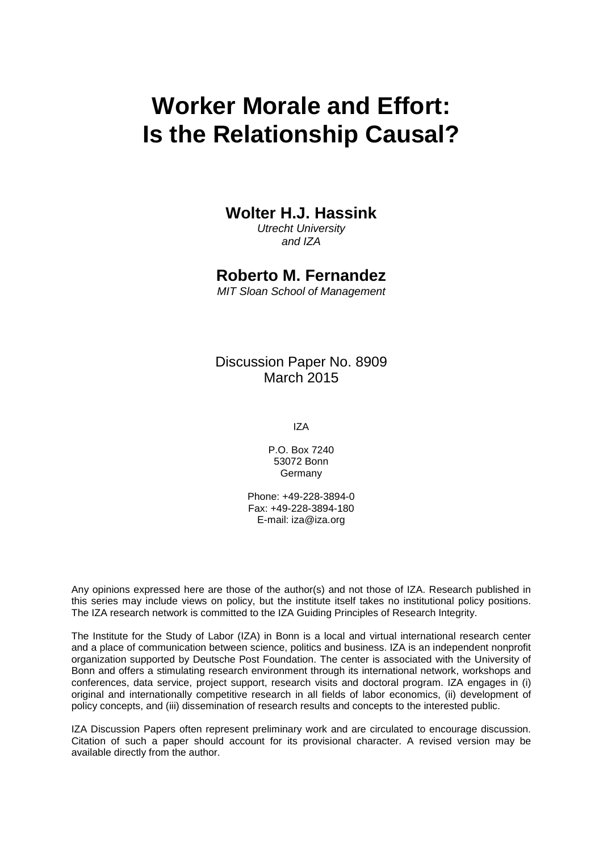# **Worker Morale and Effort: Is the Relationship Causal?**

### **Wolter H.J. Hassink**

*Utrecht University and IZA*

### **Roberto M. Fernandez**

*MIT Sloan School of Management*

Discussion Paper No. 8909 March 2015

IZA

P.O. Box 7240 53072 Bonn Germany

Phone: +49-228-3894-0 Fax: +49-228-3894-180 E-mail: iza@iza.org

Any opinions expressed here are those of the author(s) and not those of IZA. Research published in this series may include views on policy, but the institute itself takes no institutional policy positions. The IZA research network is committed to the IZA Guiding Principles of Research Integrity.

The Institute for the Study of Labor (IZA) in Bonn is a local and virtual international research center and a place of communication between science, politics and business. IZA is an independent nonprofit organization supported by Deutsche Post Foundation. The center is associated with the University of Bonn and offers a stimulating research environment through its international network, workshops and conferences, data service, project support, research visits and doctoral program. IZA engages in (i) original and internationally competitive research in all fields of labor economics, (ii) development of policy concepts, and (iii) dissemination of research results and concepts to the interested public.

<span id="page-1-0"></span>IZA Discussion Papers often represent preliminary work and are circulated to encourage discussion. Citation of such a paper should account for its provisional character. A revised version may be available directly from the author.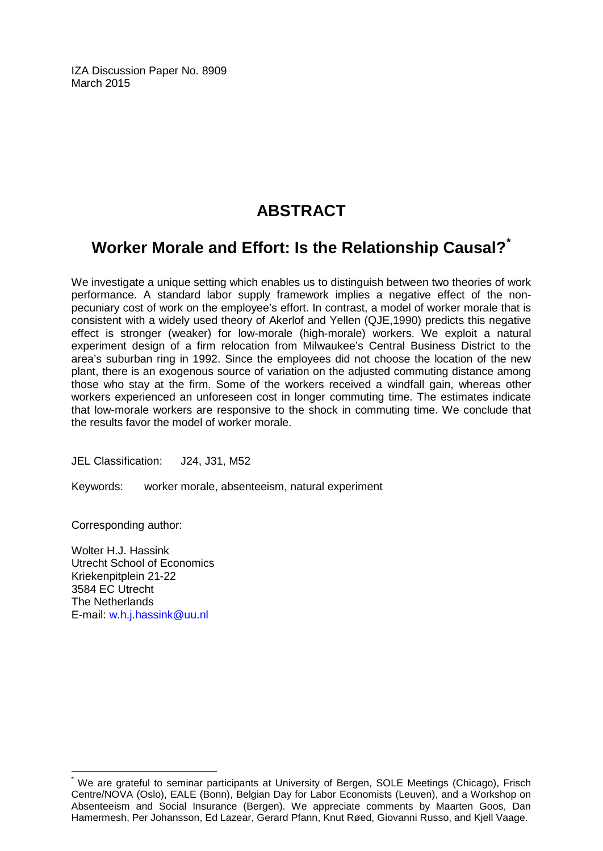IZA Discussion Paper No. 8909 March 2015

# **ABSTRACT**

### **Worker Morale and Effort: Is the Relationship Causal?[\\*](#page-1-0)**

We investigate a unique setting which enables us to distinguish between two theories of work performance. A standard labor supply framework implies a negative effect of the nonpecuniary cost of work on the employee's effort. In contrast, a model of worker morale that is consistent with a widely used theory of Akerlof and Yellen (QJE,1990) predicts this negative effect is stronger (weaker) for low-morale (high-morale) workers. We exploit a natural experiment design of a firm relocation from Milwaukee's Central Business District to the area's suburban ring in 1992. Since the employees did not choose the location of the new plant, there is an exogenous source of variation on the adjusted commuting distance among those who stay at the firm. Some of the workers received a windfall gain, whereas other workers experienced an unforeseen cost in longer commuting time. The estimates indicate that low-morale workers are responsive to the shock in commuting time. We conclude that the results favor the model of worker morale.

JEL Classification: J24, J31, M52

Keywords: worker morale, absenteeism, natural experiment

Corresponding author:

Wolter H.J. Hassink Utrecht School of Economics Kriekenpitplein 21-22 3584 EC Utrecht The Netherlands E-mail: [w.h.j.hassink@uu.nl](mailto:w.h.j.hassink@uu.nl)

We are grateful to seminar participants at University of Bergen, SOLE Meetings (Chicago), Frisch Centre/NOVA (Oslo), EALE (Bonn), Belgian Day for Labor Economists (Leuven), and a Workshop on Absenteeism and Social Insurance (Bergen). We appreciate comments by Maarten Goos, Dan Hamermesh, Per Johansson, Ed Lazear, Gerard Pfann, Knut Røed, Giovanni Russo, and Kjell Vaage.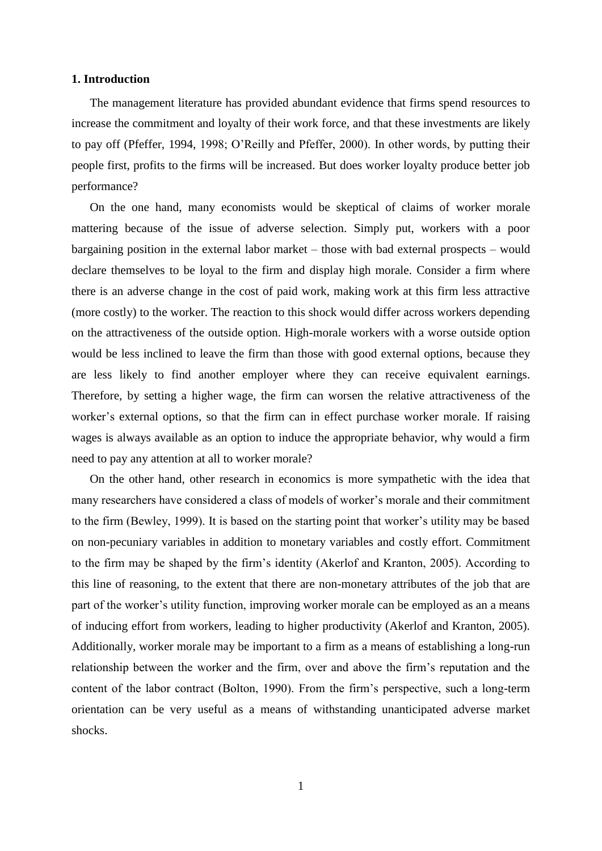#### **1. Introduction**

The management literature has provided abundant evidence that firms spend resources to increase the commitment and loyalty of their work force, and that these investments are likely to pay off (Pfeffer, 1994, 1998; O'Reilly and Pfeffer, 2000). In other words, by putting their people first, profits to the firms will be increased. But does worker loyalty produce better job performance?

On the one hand, many economists would be skeptical of claims of worker morale mattering because of the issue of adverse selection. Simply put, workers with a poor bargaining position in the external labor market – those with bad external prospects – would declare themselves to be loyal to the firm and display high morale. Consider a firm where there is an adverse change in the cost of paid work, making work at this firm less attractive (more costly) to the worker. The reaction to this shock would differ across workers depending on the attractiveness of the outside option. High-morale workers with a worse outside option would be less inclined to leave the firm than those with good external options, because they are less likely to find another employer where they can receive equivalent earnings. Therefore, by setting a higher wage, the firm can worsen the relative attractiveness of the worker's external options, so that the firm can in effect purchase worker morale. If raising wages is always available as an option to induce the appropriate behavior, why would a firm need to pay any attention at all to worker morale?

On the other hand, other research in economics is more sympathetic with the idea that many researchers have considered a class of models of worker's morale and their commitment to the firm (Bewley, 1999). It is based on the starting point that worker's utility may be based on non-pecuniary variables in addition to monetary variables and costly effort. Commitment to the firm may be shaped by the firm's identity (Akerlof and Kranton, 2005). According to this line of reasoning, to the extent that there are non-monetary attributes of the job that are part of the worker's utility function, improving worker morale can be employed as an a means of inducing effort from workers, leading to higher productivity (Akerlof and Kranton, 2005). Additionally, worker morale may be important to a firm as a means of establishing a long-run relationship between the worker and the firm, over and above the firm's reputation and the content of the labor contract (Bolton, 1990). From the firm's perspective, such a long-term orientation can be very useful as a means of withstanding unanticipated adverse market shocks.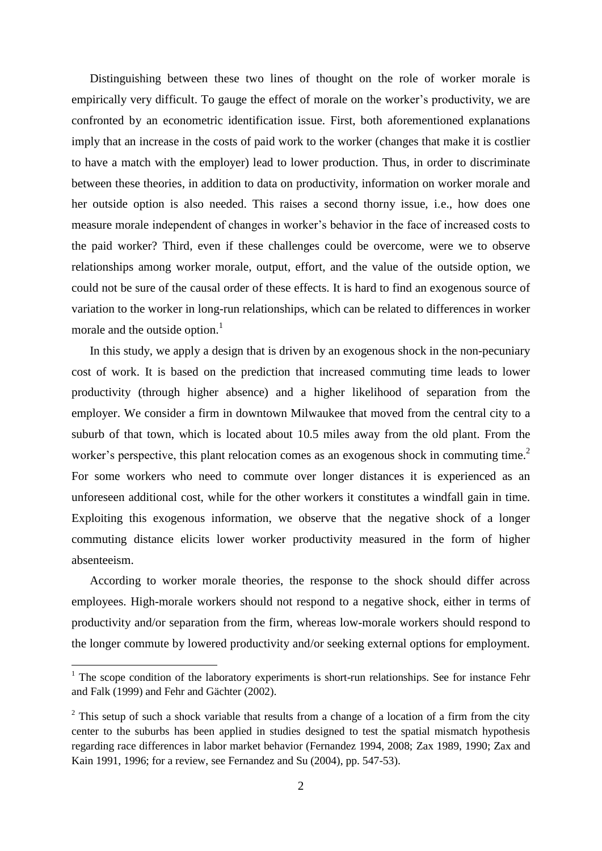Distinguishing between these two lines of thought on the role of worker morale is empirically very difficult. To gauge the effect of morale on the worker's productivity, we are confronted by an econometric identification issue. First, both aforementioned explanations imply that an increase in the costs of paid work to the worker (changes that make it is costlier to have a match with the employer) lead to lower production. Thus, in order to discriminate between these theories, in addition to data on productivity, information on worker morale and her outside option is also needed. This raises a second thorny issue, i.e., how does one measure morale independent of changes in worker's behavior in the face of increased costs to the paid worker? Third, even if these challenges could be overcome, were we to observe relationships among worker morale, output, effort, and the value of the outside option, we could not be sure of the causal order of these effects. It is hard to find an exogenous source of variation to the worker in long-run relationships, which can be related to differences in worker morale and the outside option.<sup>1</sup>

In this study, we apply a design that is driven by an exogenous shock in the non-pecuniary cost of work. It is based on the prediction that increased commuting time leads to lower productivity (through higher absence) and a higher likelihood of separation from the employer. We consider a firm in downtown Milwaukee that moved from the central city to a suburb of that town, which is located about 10.5 miles away from the old plant. From the worker's perspective, this plant relocation comes as an exogenous shock in commuting time.<sup>2</sup> For some workers who need to commute over longer distances it is experienced as an unforeseen additional cost, while for the other workers it constitutes a windfall gain in time. Exploiting this exogenous information, we observe that the negative shock of a longer commuting distance elicits lower worker productivity measured in the form of higher absenteeism.

According to worker morale theories, the response to the shock should differ across employees. High-morale workers should not respond to a negative shock, either in terms of productivity and/or separation from the firm, whereas low-morale workers should respond to the longer commute by lowered productivity and/or seeking external options for employment.

 $\overline{a}$ 

 $1$ . The scope condition of the laboratory experiments is short-run relationships. See for instance Fehr and Falk (1999) and Fehr and Gächter (2002).

 $2$  This setup of such a shock variable that results from a change of a location of a firm from the city center to the suburbs has been applied in studies designed to test the spatial mismatch hypothesis regarding race differences in labor market behavior (Fernandez 1994, 2008; Zax 1989, 1990; Zax and Kain 1991, 1996; for a review, see Fernandez and Su (2004), pp. 547-53).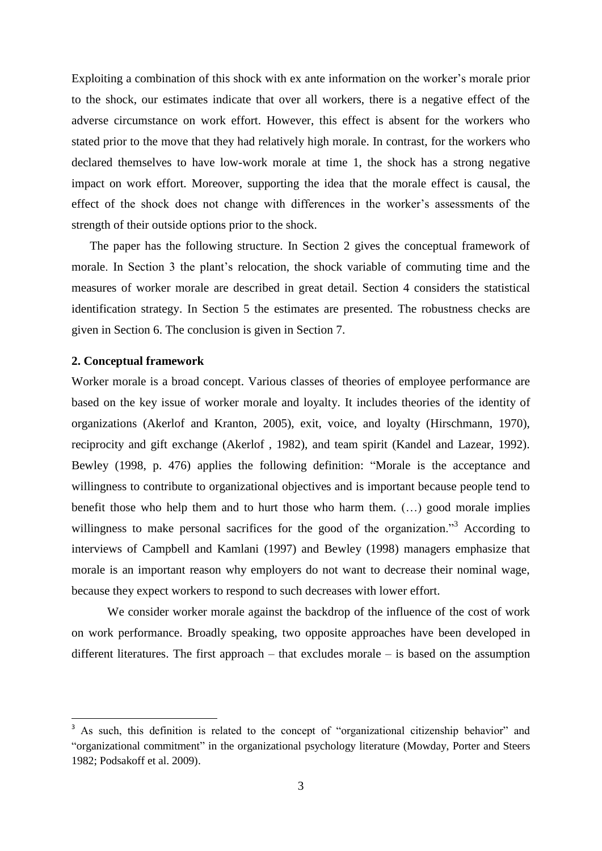Exploiting a combination of this shock with ex ante information on the worker's morale prior to the shock, our estimates indicate that over all workers, there is a negative effect of the adverse circumstance on work effort. However, this effect is absent for the workers who stated prior to the move that they had relatively high morale. In contrast, for the workers who declared themselves to have low-work morale at time 1, the shock has a strong negative impact on work effort. Moreover, supporting the idea that the morale effect is causal, the effect of the shock does not change with differences in the worker's assessments of the strength of their outside options prior to the shock.

The paper has the following structure. In Section 2 gives the conceptual framework of morale. In Section 3 the plant's relocation, the shock variable of commuting time and the measures of worker morale are described in great detail. Section 4 considers the statistical identification strategy. In Section 5 the estimates are presented. The robustness checks are given in Section 6. The conclusion is given in Section 7.

#### **2. Conceptual framework**

1

Worker morale is a broad concept. Various classes of theories of employee performance are based on the key issue of worker morale and loyalty. It includes theories of the identity of organizations (Akerlof and Kranton, 2005), exit, voice, and loyalty (Hirschmann, 1970), reciprocity and gift exchange (Akerlof , 1982), and team spirit (Kandel and Lazear, 1992). Bewley (1998, p. 476) applies the following definition: "Morale is the acceptance and willingness to contribute to organizational objectives and is important because people tend to benefit those who help them and to hurt those who harm them. (…) good morale implies willingness to make personal sacrifices for the good of the organization."<sup>3</sup> According to interviews of Campbell and Kamlani (1997) and Bewley (1998) managers emphasize that morale is an important reason why employers do not want to decrease their nominal wage, because they expect workers to respond to such decreases with lower effort.

We consider worker morale against the backdrop of the influence of the cost of work on work performance. Broadly speaking, two opposite approaches have been developed in different literatures. The first approach – that excludes morale – is based on the assumption

<sup>&</sup>lt;sup>3</sup> As such, this definition is related to the concept of "organizational citizenship behavior" and "organizational commitment" in the organizational psychology literature (Mowday, Porter and Steers 1982; Podsakoff et al. 2009).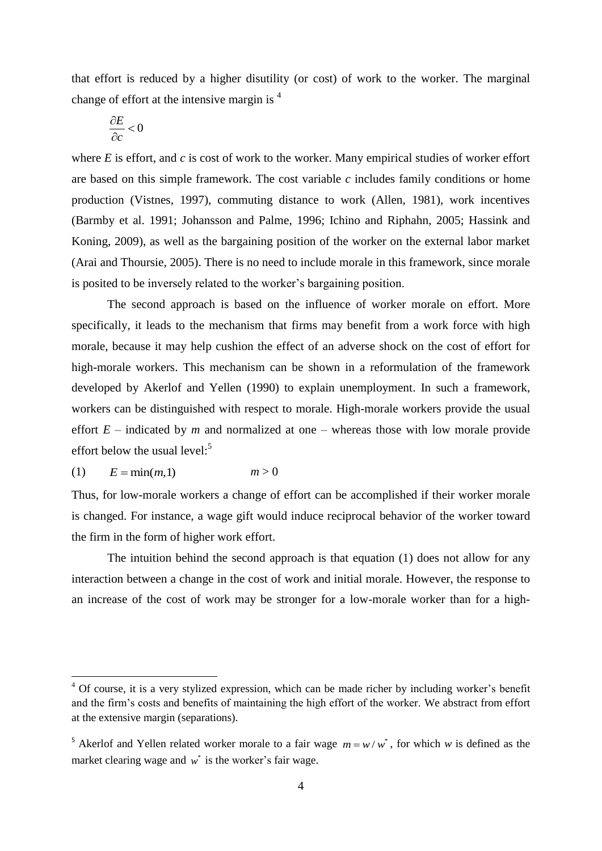that effort is reduced by a higher disutility (or cost) of work to the worker. The marginal change of effort at the intensive margin is <sup>4</sup>

$$
\frac{\partial E}{\partial c}<0
$$

where *E* is effort, and *c* is cost of work to the worker. Many empirical studies of worker effort are based on this simple framework. The cost variable *c* includes family conditions or home production (Vistnes, 1997), commuting distance to work (Allen, 1981), work incentives (Barmby et al. 1991; Johansson and Palme, 1996; Ichino and Riphahn, 2005; Hassink and Koning, 2009), as well as the bargaining position of the worker on the external labor market (Arai and Thoursie, 2005). There is no need to include morale in this framework, since morale is posited to be inversely related to the worker's bargaining position.

The second approach is based on the influence of worker morale on effort. More specifically, it leads to the mechanism that firms may benefit from a work force with high morale, because it may help cushion the effect of an adverse shock on the cost of effort for high-morale workers. This mechanism can be shown in a reformulation of the framework developed by Akerlof and Yellen (1990) to explain unemployment. In such a framework, workers can be distinguished with respect to morale. High-morale workers provide the usual effort  $E$  – indicated by *m* and normalized at one – whereas those with low morale provide effort below the usual level:<sup>5</sup>

$$
(1) \qquad E = \min(m, 1) \qquad m > 0
$$

 $\overline{a}$ 

Thus, for low-morale workers a change of effort can be accomplished if their worker morale is changed. For instance, a wage gift would induce reciprocal behavior of the worker toward the firm in the form of higher work effort.

The intuition behind the second approach is that equation (1) does not allow for any interaction between a change in the cost of work and initial morale. However, the response to an increase of the cost of work may be stronger for a low-morale worker than for a high-

 $4$  Of course, it is a very stylized expression, which can be made richer by including worker's benefit and the firm's costs and benefits of maintaining the high effort of the worker. We abstract from effort at the extensive margin (separations).

<sup>&</sup>lt;sup>5</sup> Akerlof and Yellen related worker morale to a fair wage  $m = w/w^*$ , for which w is defined as the market clearing wage and  $w^*$  is the worker's fair wage.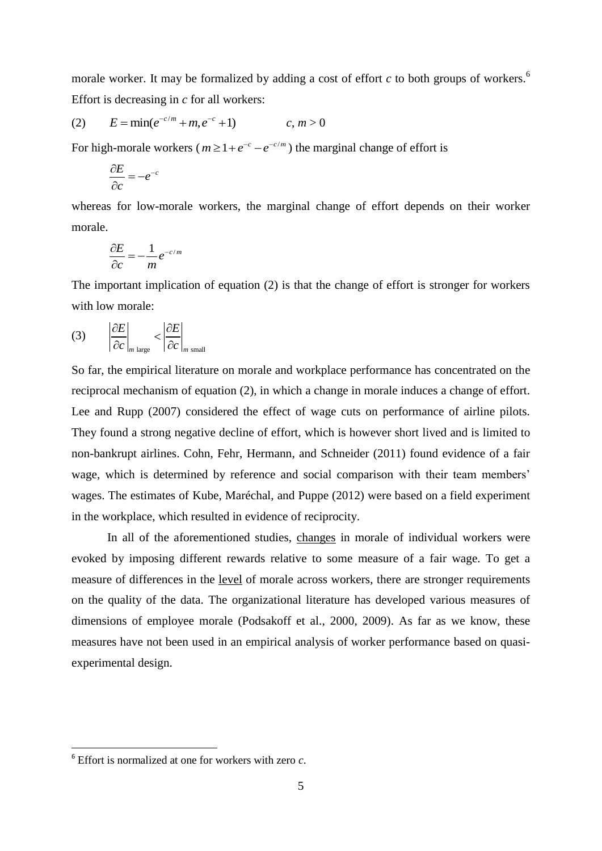morale worker. It may be formalized by adding a cost of effort *c* to both groups of workers. 6 Effort is decreasing in *c* for all workers:

(2) 
$$
E = min(e^{-c/m} + m, e^{-c} + 1)
$$
  $c, m > 0$ 

For high-morale workers ( $m \ge 1 + e^{-c} - e^{-c/m}$ ) the marginal change of effort is

$$
\frac{\partial E}{\partial c} = -e^{-c}
$$

whereas for low-morale workers, the marginal change of effort depends on their worker morale.

$$
\frac{\partial E}{\partial c} = -\frac{1}{m} e^{-c/m}
$$

The important implication of equation (2) is that the change of effort is stronger for workers with low morale:

$$
(3) \qquad \left|\frac{\partial E}{\partial c}\right|_{m \text{ large}} < \left|\frac{\partial E}{\partial c}\right|_{m \text{ small}}
$$

So far, the empirical literature on morale and workplace performance has concentrated on the reciprocal mechanism of equation (2), in which a change in morale induces a change of effort. Lee and Rupp (2007) considered the effect of wage cuts on performance of airline pilots. They found a strong negative decline of effort, which is however short lived and is limited to non-bankrupt airlines. Cohn, Fehr, Hermann, and Schneider (2011) found evidence of a fair wage, which is determined by reference and social comparison with their team members' wages. The estimates of Kube, Maréchal, and Puppe (2012) were based on a field experiment in the workplace, which resulted in evidence of reciprocity.

In all of the aforementioned studies, changes in morale of individual workers were evoked by imposing different rewards relative to some measure of a fair wage. To get a measure of differences in the level of morale across workers, there are stronger requirements on the quality of the data. The organizational literature has developed various measures of dimensions of employee morale (Podsakoff et al., 2000, 2009). As far as we know, these measures have not been used in an empirical analysis of worker performance based on quasiexperimental design.

**.** 

<sup>6</sup> Effort is normalized at one for workers with zero *c*.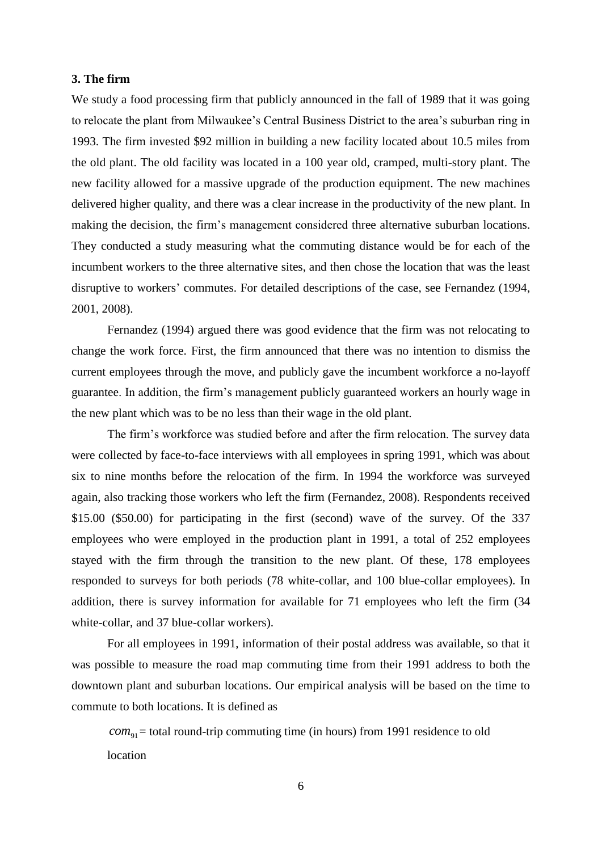#### **3. The firm**

We study a food processing firm that publicly announced in the fall of 1989 that it was going to relocate the plant from Milwaukee's Central Business District to the area's suburban ring in 1993. The firm invested \$92 million in building a new facility located about 10.5 miles from the old plant. The old facility was located in a 100 year old, cramped, multi-story plant. The new facility allowed for a massive upgrade of the production equipment. The new machines delivered higher quality, and there was a clear increase in the productivity of the new plant. In making the decision, the firm's management considered three alternative suburban locations. They conducted a study measuring what the commuting distance would be for each of the incumbent workers to the three alternative sites, and then chose the location that was the least disruptive to workers' commutes. For detailed descriptions of the case, see Fernandez (1994, 2001, 2008).

Fernandez (1994) argued there was good evidence that the firm was not relocating to change the work force. First, the firm announced that there was no intention to dismiss the current employees through the move, and publicly gave the incumbent workforce a no-layoff guarantee. In addition, the firm's management publicly guaranteed workers an hourly wage in the new plant which was to be no less than their wage in the old plant.

The firm's workforce was studied before and after the firm relocation. The survey data were collected by face-to-face interviews with all employees in spring 1991, which was about six to nine months before the relocation of the firm. In 1994 the workforce was surveyed again, also tracking those workers who left the firm (Fernandez, 2008). Respondents received \$15.00 (\$50.00) for participating in the first (second) wave of the survey. Of the 337 employees who were employed in the production plant in 1991, a total of 252 employees stayed with the firm through the transition to the new plant. Of these, 178 employees responded to surveys for both periods (78 white-collar, and 100 blue-collar employees). In addition, there is survey information for available for 71 employees who left the firm (34 white-collar, and 37 blue-collar workers).

For all employees in 1991, information of their postal address was available, so that it was possible to measure the road map commuting time from their 1991 address to both the downtown plant and suburban locations. Our empirical analysis will be based on the time to commute to both locations. It is defined as

 $com_{91}$  = total round-trip commuting time (in hours) from 1991 residence to old location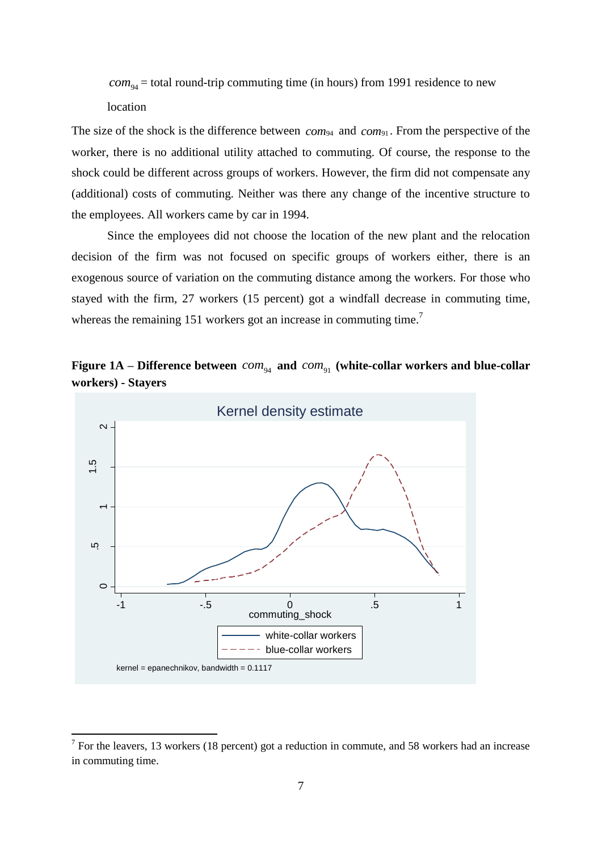$com_{94}$  = total round-trip commuting time (in hours) from 1991 residence to new location

The size of the shock is the difference between *com*<sup>94</sup> and *com*<sup>91</sup> . From the perspective of the worker, there is no additional utility attached to commuting. Of course, the response to the shock could be different across groups of workers. However, the firm did not compensate any (additional) costs of commuting. Neither was there any change of the incentive structure to the employees. All workers came by car in 1994.

Since the employees did not choose the location of the new plant and the relocation decision of the firm was not focused on specific groups of workers either, there is an exogenous source of variation on the commuting distance among the workers. For those who stayed with the firm, 27 workers (15 percent) got a windfall decrease in commuting time, whereas the remaining 151 workers got an increase in commuting time.<sup>7</sup>

Figure 1A – Difference between  $com_{94}$  and  $com_{91}$  (white-collar workers and blue-collar **workers) - Stayers**



1

 $<sup>7</sup>$  For the leavers, 13 workers (18 percent) got a reduction in commute, and 58 workers had an increase</sup> in commuting time.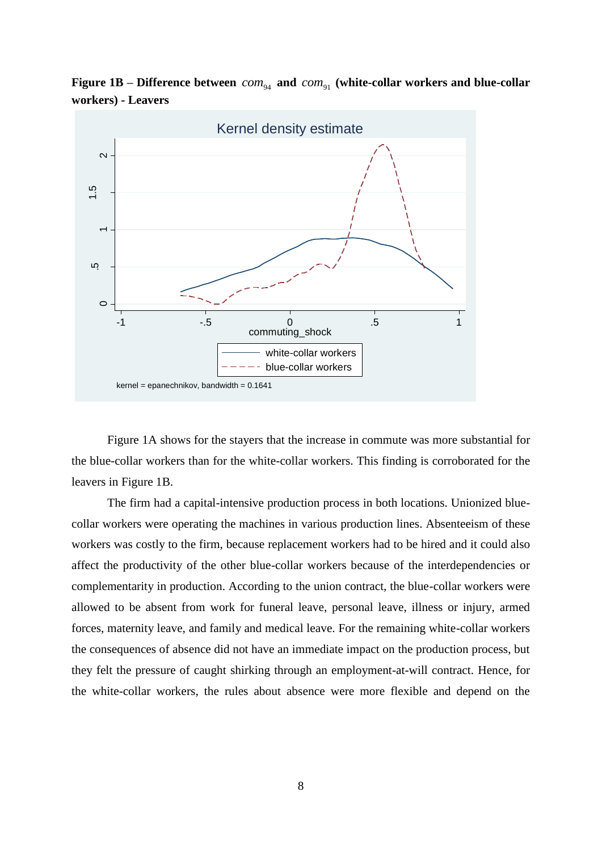Figure 1B – Difference between  $com_{94}$  and  $com_{91}$  (white-collar workers and blue-collar **workers) - Leavers**



Figure 1A shows for the stayers that the increase in commute was more substantial for the blue-collar workers than for the white-collar workers. This finding is corroborated for the leavers in Figure 1B.

The firm had a capital-intensive production process in both locations. Unionized bluecollar workers were operating the machines in various production lines. Absenteeism of these workers was costly to the firm, because replacement workers had to be hired and it could also affect the productivity of the other blue-collar workers because of the interdependencies or complementarity in production. According to the union contract, the blue-collar workers were allowed to be absent from work for funeral leave, personal leave, illness or injury, armed forces, maternity leave, and family and medical leave. For the remaining white-collar workers the consequences of absence did not have an immediate impact on the production process, but they felt the pressure of caught shirking through an employment-at-will contract. Hence, for the white-collar workers, the rules about absence were more flexible and depend on the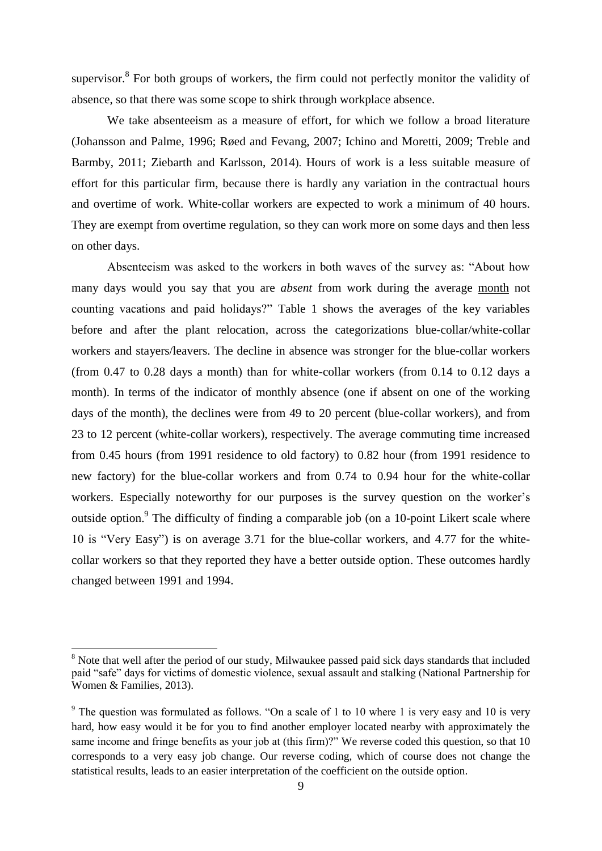supervisor. $8$  For both groups of workers, the firm could not perfectly monitor the validity of absence, so that there was some scope to shirk through workplace absence.

We take absenteeism as a measure of effort, for which we follow a broad literature (Johansson and Palme, 1996; Røed and Fevang, 2007; Ichino and Moretti, 2009; Treble and Barmby, 2011; Ziebarth and Karlsson, 2014). Hours of work is a less suitable measure of effort for this particular firm, because there is hardly any variation in the contractual hours and overtime of work. White-collar workers are expected to work a minimum of 40 hours. They are exempt from overtime regulation, so they can work more on some days and then less on other days.

Absenteeism was asked to the workers in both waves of the survey as: "About how many days would you say that you are *absent* from work during the average month not counting vacations and paid holidays?" Table 1 shows the averages of the key variables before and after the plant relocation, across the categorizations blue-collar/white-collar workers and stayers/leavers. The decline in absence was stronger for the blue-collar workers (from 0.47 to 0.28 days a month) than for white-collar workers (from 0.14 to 0.12 days a month). In terms of the indicator of monthly absence (one if absent on one of the working days of the month), the declines were from 49 to 20 percent (blue-collar workers), and from 23 to 12 percent (white-collar workers), respectively. The average commuting time increased from 0.45 hours (from 1991 residence to old factory) to 0.82 hour (from 1991 residence to new factory) for the blue-collar workers and from 0.74 to 0.94 hour for the white-collar workers. Especially noteworthy for our purposes is the survey question on the worker's outside option.<sup>9</sup> The difficulty of finding a comparable job (on a 10-point Likert scale where 10 is "Very Easy") is on average 3.71 for the blue-collar workers, and 4.77 for the whitecollar workers so that they reported they have a better outside option. These outcomes hardly changed between 1991 and 1994.

 $\overline{a}$ 

<sup>&</sup>lt;sup>8</sup> Note that well after the period of our study, Milwaukee passed paid sick days standards that included paid "safe" days for victims of domestic violence, sexual assault and stalking (National Partnership for Women & Families, 2013).

<sup>&</sup>lt;sup>9</sup> The question was formulated as follows. "On a scale of 1 to 10 where 1 is very easy and 10 is very hard, how easy would it be for you to find another employer located nearby with approximately the same income and fringe benefits as your job at (this firm)?" We reverse coded this question, so that 10 corresponds to a very easy job change. Our reverse coding, which of course does not change the statistical results, leads to an easier interpretation of the coefficient on the outside option.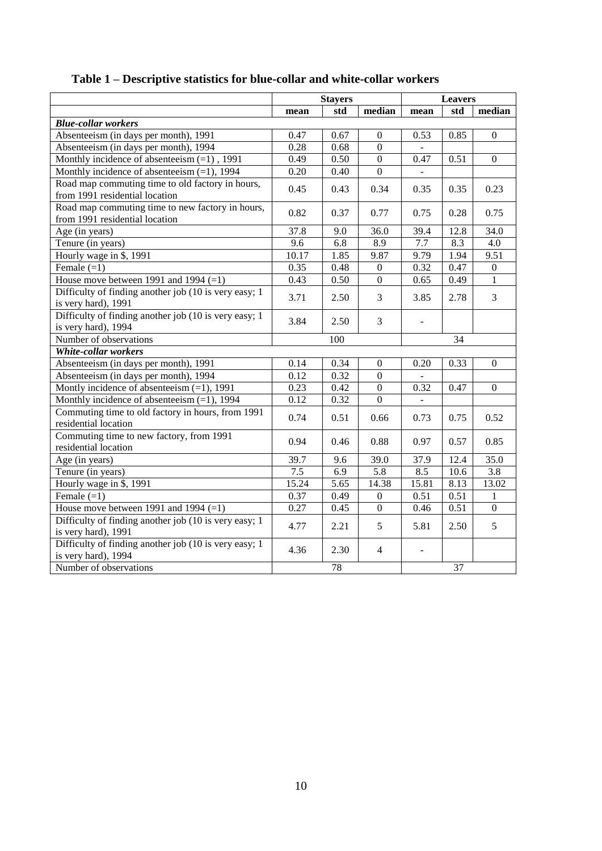|                                                                                    | <b>Stayers</b>   |               | <b>Leavers</b>   |                          |                 |                  |
|------------------------------------------------------------------------------------|------------------|---------------|------------------|--------------------------|-----------------|------------------|
|                                                                                    | mean             | std<br>median |                  |                          | std             | median           |
| <b>Blue-collar workers</b>                                                         |                  |               |                  |                          |                 |                  |
| Absenteeism (in days per month), 1991                                              | 0.47             | 0.67          | $\boldsymbol{0}$ | 0.53                     | 0.85            | $\boldsymbol{0}$ |
| Absenteeism (in days per month), 1994                                              | 0.28             | 0.68          | $\mathbf{0}$     |                          |                 |                  |
| Monthly incidence of absenteeism $(=1)$ , 1991                                     | 0.49             | 0.50          | $\mathbf{0}$     | 0.47                     | 0.51            | $\boldsymbol{0}$ |
| Monthly incidence of absenteeism $(=1)$ , 1994                                     | 0.20             | 0.40          | $\overline{0}$   | $\mathbf{r}$             |                 |                  |
| Road map commuting time to old factory in hours,<br>from 1991 residential location | 0.45             | 0.43          | 0.34             | 0.35                     | 0.35            | 0.23             |
| Road map commuting time to new factory in hours,<br>from 1991 residential location | 0.82             | 0.37          | 0.77             | 0.75                     | 0.28            | 0.75             |
| Age (in years)                                                                     | 37.8             | 9.0           | 36.0             | 39.4                     | 12.8            | 34.0             |
| Tenure (in years)                                                                  | $\overline{9.6}$ | 6.8           | 8.9              | 7.7                      | 8.3             | 4.0              |
| Hourly wage in \$, 1991                                                            | 10.17            | 1.85          | 9.87             | 9.79                     | 1.94            | 9.51             |
| Female $(=1)$                                                                      | 0.35             | 0.48          | $\mathbf{0}$     | 0.32                     | 0.47            | $\boldsymbol{0}$ |
| House move between 1991 and 1994 $(=1)$                                            | 0.43             | 0.50          | $\mathbf{0}$     | 0.65                     | 0.49            | $\mathbf{1}$     |
| Difficulty of finding another job (10 is very easy; 1<br>is very hard), 1991       | 3.71             | 2.50          | 3                | 3.85                     | 2.78            | 3                |
| Difficulty of finding another job (10 is very easy; 1<br>is very hard), 1994       | 3.84             | 2.50          | $\overline{3}$   | $\overline{\phantom{a}}$ |                 |                  |
| Number of observations                                                             |                  | 100           |                  |                          | $\overline{34}$ |                  |
| White-collar workers                                                               |                  |               |                  |                          |                 |                  |
| Absenteeism (in days per month), 1991                                              | 0.14             | 0.34          | $\boldsymbol{0}$ | 0.20                     | 0.33            | $\boldsymbol{0}$ |
| Absenteeism (in days per month), 1994                                              | 0.12             | 0.32          | $\mathbf{0}$     |                          |                 |                  |
| Montly incidence of absenteeism $(=1)$ , 1991                                      | 0.23             | 0.42          | $\boldsymbol{0}$ | 0.32                     | 0.47            | $\overline{0}$   |
| Monthly incidence of absenteeism $(=1)$ , 1994                                     | 0.12             | 0.32          | $\overline{0}$   |                          |                 |                  |
| Commuting time to old factory in hours, from 1991<br>residential location          | 0.74             | 0.51          | 0.66             | 0.73                     | 0.75            | 0.52             |
| Commuting time to new factory, from 1991<br>residential location                   | 0.94             | 0.46          | 0.88             | 0.97                     | 0.57            | 0.85             |
| Age (in years)                                                                     | 39.7             | 9.6           | 39.0             | 37.9                     | 12.4            | 35.0             |
| Tenure (in years)                                                                  | 7.5              | 6.9           | 5.8              | 8.5                      | $10.6\,$        | 3.8              |
| Hourly wage in \$, 1991                                                            | 15.24            | 5.65          | 14.38            | 15.81                    | 8.13            | 13.02            |
| Female $(=1)$                                                                      | 0.37             | 0.49          | $\overline{0}$   | 0.51                     | 0.51            | $\mathbf{1}$     |
| House move between 1991 and 1994 $(=1)$                                            | 0.27             | 0.45          | $\mathbf{0}$     | 0.46                     | 0.51            | $\overline{0}$   |
| Difficulty of finding another job (10 is very easy; 1<br>is very hard), 1991       | 4.77             | 2.21          | 5                | 5.81                     | 2.50            | 5                |
| Difficulty of finding another job (10 is very easy; 1)<br>is very hard), 1994      | 4.36             | 2.30          | $\overline{4}$   | $\overline{\phantom{a}}$ |                 |                  |
| Number of observations                                                             | $\overline{78}$  |               |                  | 37                       |                 |                  |

### **Table 1 – Descriptive statistics for blue-collar and white-collar workers**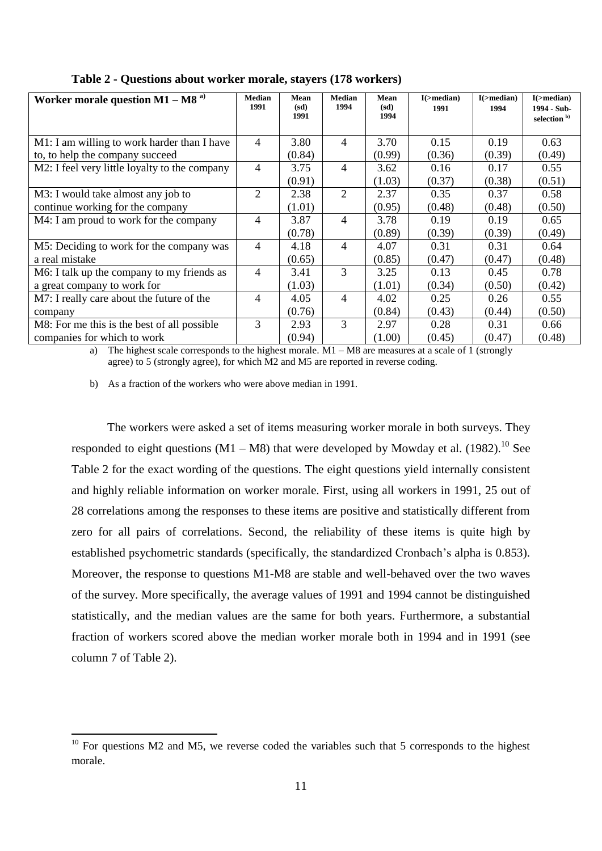| Worker morale question $M1 - MS$ <sup>a)</sup> | <b>Median</b><br>1991 | Mean<br>(sd) | <b>Median</b><br>1994 | Mean<br>(sd) | $I(\rightarrow$ median)<br>1991 | $I(\rightarrow$ median)<br>1994 | $I(\rightarrow$ median)<br>1994 - Sub- |
|------------------------------------------------|-----------------------|--------------|-----------------------|--------------|---------------------------------|---------------------------------|----------------------------------------|
|                                                |                       | 1991         |                       | 1994         |                                 |                                 | selection <sup>b)</sup>                |
| M1: I am willing to work harder than I have    | $\overline{4}$        | 3.80         | $\overline{4}$        | 3.70         | 0.15                            | 0.19                            | 0.63                                   |
| to, to help the company succeed                |                       | (0.84)       |                       | (0.99)       | (0.36)                          | (0.39)                          | (0.49)                                 |
| M2: I feel very little loyalty to the company  | $\overline{4}$        | 3.75         | $\overline{4}$        | 3.62         | 0.16                            | 0.17                            | 0.55                                   |
|                                                |                       | (0.91)       |                       | (1.03)       | (0.37)                          | (0.38)                          | (0.51)                                 |
| M3: I would take almost any job to             | $\overline{2}$        | 2.38         | 2                     | 2.37         | 0.35                            | 0.37                            | 0.58                                   |
| continue working for the company               |                       | (1.01)       |                       | (0.95)       | (0.48)                          | (0.48)                          | (0.50)                                 |
| M4: I am proud to work for the company         | $\overline{4}$        | 3.87         | $\overline{4}$        | 3.78         | 0.19                            | 0.19                            | 0.65                                   |
|                                                |                       | (0.78)       |                       | (0.89)       | (0.39)                          | (0.39)                          | (0.49)                                 |
| M5: Deciding to work for the company was       | $\overline{4}$        | 4.18         | $\overline{4}$        | 4.07         | 0.31                            | 0.31                            | 0.64                                   |
| a real mistake                                 |                       | (0.65)       |                       | (0.85)       | (0.47)                          | (0.47)                          | (0.48)                                 |
| M6: I talk up the company to my friends as     | 4                     | 3.41         | 3                     | 3.25         | 0.13                            | 0.45                            | 0.78                                   |
| a great company to work for                    |                       | (1.03)       |                       | (1.01)       | (0.34)                          | (0.50)                          | (0.42)                                 |
| M7: I really care about the future of the      | 4                     | 4.05         | $\overline{4}$        | 4.02         | 0.25                            | 0.26                            | 0.55                                   |
| company                                        |                       | (0.76)       |                       | (0.84)       | (0.43)                          | (0.44)                          | (0.50)                                 |
| M8: For me this is the best of all possible    | 3                     | 2.93         | 3                     | 2.97         | 0.28                            | 0.31                            | 0.66                                   |
| companies for which to work                    |                       | (0.94)       |                       | (1.00)       | (0.45)                          | (0.47)                          | (0.48)                                 |

**Table 2 - Questions about worker morale, stayers (178 workers)**

a) The highest scale corresponds to the highest morale.  $M1 - MS$  are measures at a scale of 1 (strongly agree) to 5 (strongly agree), for which M2 and M5 are reported in reverse coding.

b) As a fraction of the workers who were above median in 1991.

1

The workers were asked a set of items measuring worker morale in both surveys. They responded to eight questions  $(M1 - M8)$  that were developed by Mowday et al. (1982).<sup>10</sup> See Table 2 for the exact wording of the questions. The eight questions yield internally consistent and highly reliable information on worker morale. First, using all workers in 1991, 25 out of 28 correlations among the responses to these items are positive and statistically different from zero for all pairs of correlations. Second, the reliability of these items is quite high by established psychometric standards (specifically, the standardized Cronbach's alpha is 0.853). Moreover, the response to questions M1-M8 are stable and well-behaved over the two waves of the survey. More specifically, the average values of 1991 and 1994 cannot be distinguished statistically, and the median values are the same for both years. Furthermore, a substantial fraction of workers scored above the median worker morale both in 1994 and in 1991 (see column 7 of Table 2).

 $10$  For questions M2 and M5, we reverse coded the variables such that 5 corresponds to the highest morale.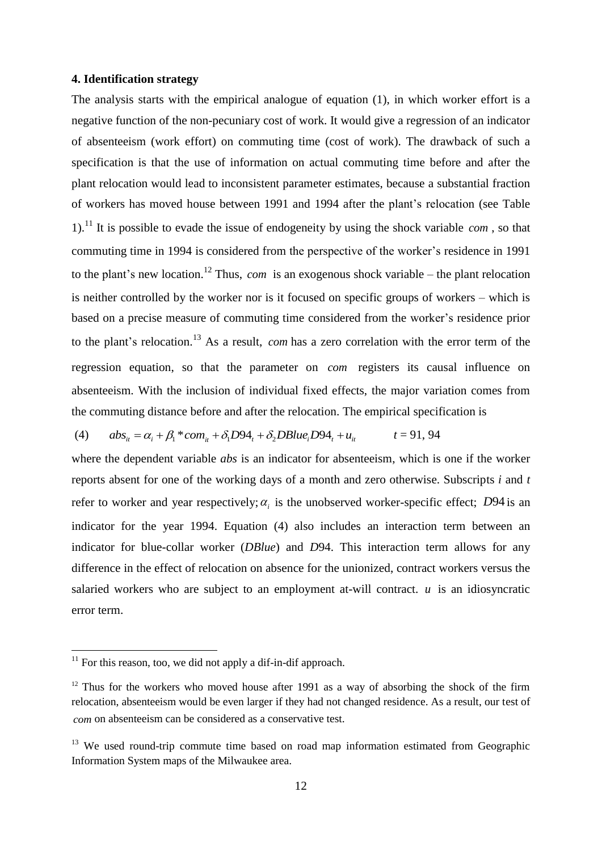#### **4. Identification strategy**

The analysis starts with the empirical analogue of equation (1), in which worker effort is a negative function of the non-pecuniary cost of work. It would give a regression of an indicator of absenteeism (work effort) on commuting time (cost of work). The drawback of such a specification is that the use of information on actual commuting time before and after the plant relocation would lead to inconsistent parameter estimates, because a substantial fraction of workers has moved house between 1991 and 1994 after the plant's relocation (see Table 1). <sup>11</sup> It is possible to evade the issue of endogeneity by using the shock variable *com* , so that commuting time in 1994 is considered from the perspective of the worker's residence in 1991 to the plant's new location. <sup>12</sup> Thus, *com* is an exogenous shock variable – the plant relocation is neither controlled by the worker nor is it focused on specific groups of workers – which is based on a precise measure of commuting time considered from the worker's residence prior to the plant's relocation.<sup>13</sup> As a result, *com* has a zero correlation with the error term of the regression equation, so that the parameter on *com* registers its causal influence on absenteeism. With the inclusion of individual fixed effects, the major variation comes from the commuting distance before and after the relocation. The empirical specification is<br>
(4)  $abs_{ii} = \alpha_i + \beta_i * com_{ii} + \delta_i D94_t + \delta_2 DBlue_i D94_t + u_{ii}$   $t = 91, 94$ 

(4) 
$$
abs_{it} = \alpha_i + \beta_i * com_{it} + \delta_i D94_t + \delta_2 DBlue_i D94_t + u_{it}
$$
  $t = 91, 94$ 

where the dependent variable *abs* is an indicator for absenteeism, which is one if the worker reports absent for one of the working days of a month and zero otherwise. Subscripts *i* and *t* refer to worker and year respectively;  $\alpha_i$  is the unobserved worker-specific effect; *D*94 is an indicator for the year 1994. Equation (4) also includes an interaction term between an indicator for blue-collar worker (*DBlue*) and *D*94. This interaction term allows for any difference in the effect of relocation on absence for the unionized, contract workers versus the salaried workers who are subject to an employment at-will contract.  $u$  is an idiosyncratic error term.

**.** 

 $11$  For this reason, too, we did not apply a dif-in-dif approach.

 $12$  Thus for the workers who moved house after 1991 as a way of absorbing the shock of the firm relocation, absenteeism would be even larger if they had not changed residence. As a result, our test of *com* on absenteeism can be considered as a conservative test.

 $13$  We used round-trip commute time based on road map information estimated from Geographic Information System maps of the Milwaukee area.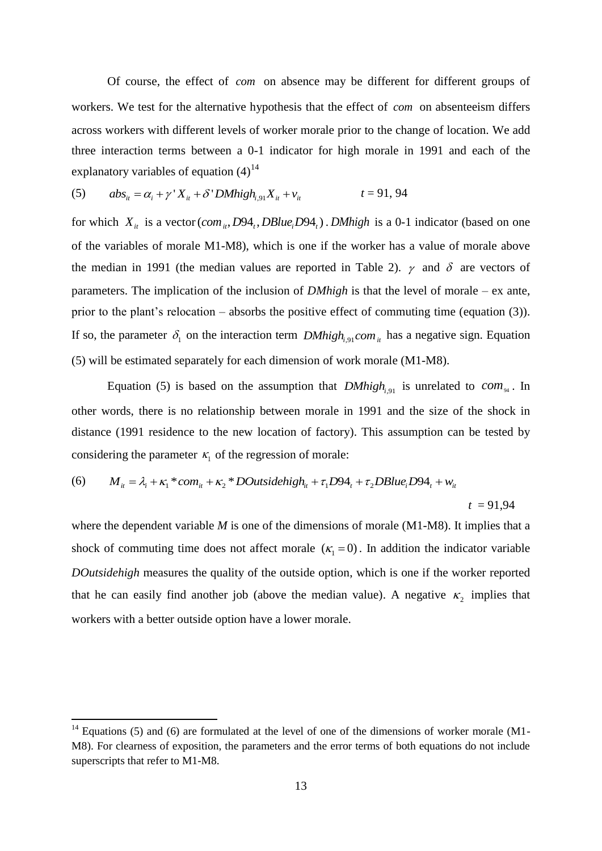Of course, the effect of *com* on absence may be different for different groups of workers. We test for the alternative hypothesis that the effect of *com* on absenteeism differs across workers with different levels of worker morale prior to the change of location. We add three interaction terms between a 0-1 indicator for high morale in 1991 and each of the explanatory variables of equation  $(4)^{14}$ <br>
(5)  $abs_{it} = \alpha_i + \gamma' X_{it} + \delta' D M h i g h_{i,91} X_{it} + v_{it}$ 

(5) 
$$
abs_{it} = \alpha_i + \gamma' X_{it} + \delta' D M h i g h_{i,91} X_{it} + v_{it}
$$
  $t = 91, 94$ 

for which  $X_{it}$  is a vector (*com*<sub>*it*</sub>, D94<sub>*t*</sub>, DBlue<sub>*i*</sub>D94<sub>*t*</sub>). DMhigh is a 0-1 indicator (based on one of the variables of morale M1-M8), which is one if the worker has a value of morale above the median in 1991 (the median values are reported in Table 2).  $\gamma$  and  $\delta$  are vectors of parameters. The implication of the inclusion of *DMhigh* is that the level of morale – ex ante, prior to the plant's relocation – absorbs the positive effect of commuting time (equation (3)). If so, the parameter  $\delta_1$  on the interaction term *DMhigh<sub>i,91</sub> com i<sub>i</sub>* has a negative sign. Equation (5) will be estimated separately for each dimension of work morale (M1-M8).

Equation (5) is based on the assumption that  $DMhigh_{i,91}$  is unrelated to  $com_{94}$ . In other words, there is no relationship between morale in 1991 and the size of the shock in distance (1991 residence to the new location of factory). This assumption can be tested by considering the parameter  $\kappa_1$  of the regression of morale: *i* if  $\pi$  is the interest in the modulum of factory). This assumption can be took<br> *i* in the parameter  $\kappa_1$  of the regression of morale:<br>  $M_{ii} = \lambda_i + \kappa_1 * com_{ii} + \kappa_2 * DOutsidehigh_{ii} + \tau_1 D94_i + \tau_2 DBlue_i D94_i + w_{ii}$ 

(6) 
$$
M_{ii} = \lambda_i + \kappa_1 * com_{ii} + \kappa_2 * DOutsidehigh_{ii} + \tau_1 D94_t + \tau_2 DBlue_i D94_t + w_{ii}
$$

$$
t = 91,94
$$

where the dependent variable *M* is one of the dimensions of morale (M1-M8). It implies that a shock of commuting time does not affect morale  $(K_1 = 0)$ . In addition the indicator variable *DOutsidehigh* measures the quality of the outside option, which is one if the worker reported that he can easily find another job (above the median value). A negative  $\kappa_2$  implies that workers with a better outside option have a lower morale.

 $\overline{a}$ 

 $14$  Equations (5) and (6) are formulated at the level of one of the dimensions of worker morale (M1-M8). For clearness of exposition, the parameters and the error terms of both equations do not include superscripts that refer to M1-M8.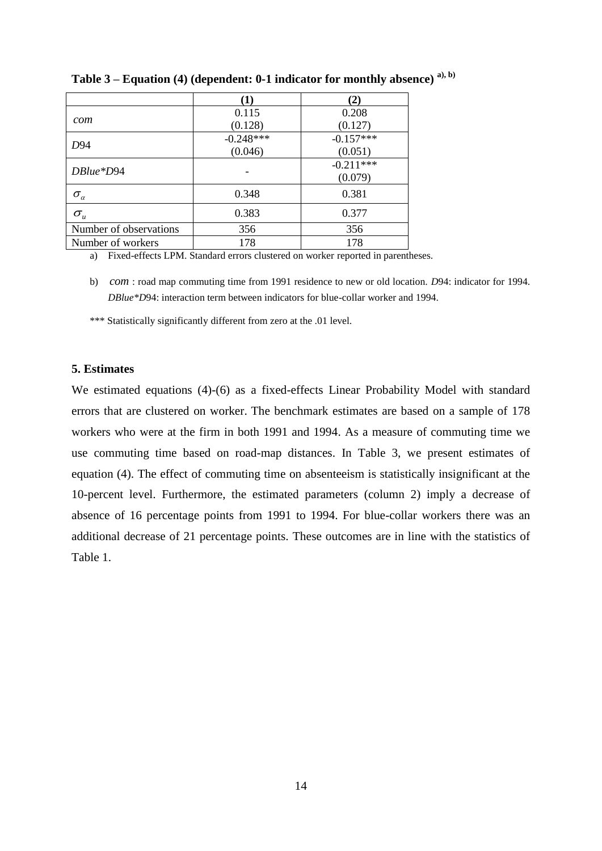|                                      | [1]         | $\mathbf{2}$ |
|--------------------------------------|-------------|--------------|
|                                      | 0.115       | 0.208        |
| com                                  | (0.128)     | (0.127)      |
|                                      | $-0.248***$ | $-0.157***$  |
| D94                                  | (0.046)     | (0.051)      |
| $DBlue*D94$                          |             | $-0.211***$  |
|                                      |             | (0.079)      |
| $\sigma_{\scriptscriptstyle \alpha}$ | 0.348       | 0.381        |
| $\sigma_{\scriptscriptstyle u}$      | 0.383       | 0.377        |
| Number of observations               | 356         | 356          |
| Number of workers                    | 178         | 178          |

**Table 3 – Equation (4) (dependent: 0-1 indicator for monthly absence) a), b)**

a) Fixed-effects LPM. Standard errors clustered on worker reported in parentheses.

b) *com* : road map commuting time from 1991 residence to new or old location. *D*94: indicator for 1994. *DBlue\*D*94: interaction term between indicators for blue-collar worker and 1994.

\*\*\* Statistically significantly different from zero at the .01 level.

#### **5. Estimates**

We estimated equations (4)-(6) as a fixed-effects Linear Probability Model with standard errors that are clustered on worker. The benchmark estimates are based on a sample of 178 workers who were at the firm in both 1991 and 1994. As a measure of commuting time we use commuting time based on road-map distances. In Table 3, we present estimates of equation (4). The effect of commuting time on absenteeism is statistically insignificant at the 10-percent level. Furthermore, the estimated parameters (column 2) imply a decrease of absence of 16 percentage points from 1991 to 1994. For blue-collar workers there was an additional decrease of 21 percentage points. These outcomes are in line with the statistics of Table 1.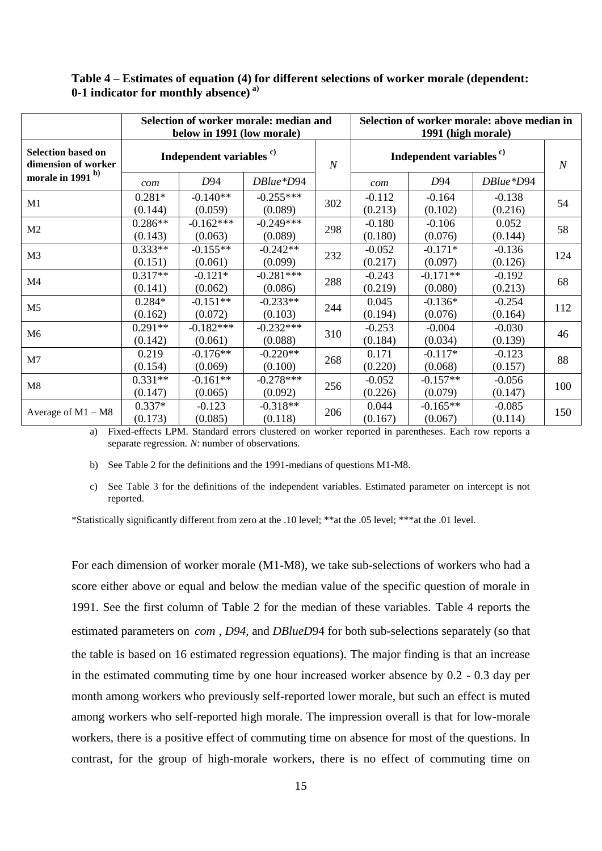|                                                  | Selection of worker morale: median and<br>below in 1991 (low morale) |                                                                        |                        |     | Selection of worker morale: above median in<br>1991 (high morale) |                       |                     |     |  |
|--------------------------------------------------|----------------------------------------------------------------------|------------------------------------------------------------------------|------------------------|-----|-------------------------------------------------------------------|-----------------------|---------------------|-----|--|
| <b>Selection based on</b><br>dimension of worker | Independent variables <sup>c)</sup>                                  |                                                                        |                        |     | Independent variables <sup>c)</sup>                               |                       |                     |     |  |
| morale in 1991 <sup>b)</sup>                     | com                                                                  | D94                                                                    | DBlue*D94              |     | com                                                               | D94                   | DBlue*D94           |     |  |
| M1                                               | $0.281*$<br>(0.144)                                                  | $-0.140**$<br>(0.059)                                                  | $-0.255***$<br>(0.089) | 302 | $-0.112$<br>(0.213)                                               | $-0.164$<br>(0.102)   | $-0.138$<br>(0.216) | 54  |  |
| M <sub>2</sub>                                   | $0.286**$<br>(0.143)                                                 | $-0.162***$<br>(0.063)                                                 | $-0.249***$<br>(0.089) | 298 | $-0.180$<br>(0.180)                                               | $-0.106$<br>(0.076)   | 0.052<br>(0.144)    | 58  |  |
| M <sub>3</sub>                                   | $0.333**$<br>(0.151)                                                 | $-0.155**$<br>(0.061)                                                  | $-0.242**$<br>(0.099)  | 232 | $-0.052$<br>(0.217)                                               | $-0.171*$<br>(0.097)  | $-0.136$<br>(0.126) | 124 |  |
| M4                                               | $0.317**$<br>(0.141)                                                 | $-0.121*$<br>(0.062)                                                   | $-0.281***$<br>(0.086) | 288 | $-0.243$<br>(0.219)                                               | $-0.171**$<br>(0.080) | $-0.192$<br>(0.213) | 68  |  |
| M <sub>5</sub>                                   | $0.284*$<br>(0.162)                                                  | $-0.151**$<br>(0.072)                                                  | $-0.233**$<br>(0.103)  | 244 | 0.045<br>(0.194)                                                  | $-0.136*$<br>(0.076)  | $-0.254$<br>(0.164) | 112 |  |
| M <sub>6</sub>                                   | $0.291**$<br>(0.142)                                                 | $-0.182***$<br>(0.061)                                                 | $-0.232***$<br>(0.088) | 310 | $-0.253$<br>(0.184)                                               | $-0.004$<br>(0.034)   | $-0.030$<br>(0.139) | 46  |  |
| M7                                               | 0.219<br>(0.154)                                                     | $-0.176**$<br>(0.069)                                                  | $-0.220**$<br>(0.100)  | 268 | 0.171<br>(0.220)                                                  | $-0.117*$<br>(0.068)  | $-0.123$<br>(0.157) | 88  |  |
| M8                                               | $0.331**$<br>(0.147)                                                 | $-0.161**$<br>(0.065)                                                  | $-0.278***$<br>(0.092) | 256 | $-0.052$<br>(0.226)                                               | $-0.157**$<br>(0.079) | $-0.056$<br>(0.147) | 100 |  |
| Average of $M1 - M8$                             | $0.337*$<br>(0.173)                                                  | $-0.123$<br>(0.085)<br>$\mathbf{r}$ $\mathbf{r}$ $\mathbf{r}$ $\alpha$ | $-0.318**$<br>(0.118)  | 206 | 0.044<br>(0.167)                                                  | $-0.165**$<br>(0.067) | $-0.085$<br>(0.114) | 150 |  |

#### **Table 4 – Estimates of equation (4) for different selections of worker morale (dependent: 0-1 indicator for monthly absence) a)**

a) Fixed-effects LPM. Standard errors clustered on worker reported in parentheses. Each row reports a separate regression. *N*: number of observations.

b) See Table 2 for the definitions and the 1991-medians of questions M1-M8.

c) See Table 3 for the definitions of the independent variables. Estimated parameter on intercept is not reported.

\*Statistically significantly different from zero at the .10 level; \*\*at the .05 level; \*\*\*at the .01 level.

For each dimension of worker morale (M1-M8), we take sub-selections of workers who had a score either above or equal and below the median value of the specific question of morale in 1991. See the first column of Table 2 for the median of these variables. Table 4 reports the estimated parameters on *com* , *D94*, and *DBlueD*94 for both sub-selections separately (so that the table is based on 16 estimated regression equations). The major finding is that an increase in the estimated commuting time by one hour increased worker absence by 0.2 - 0.3 day per month among workers who previously self-reported lower morale, but such an effect is muted among workers who self-reported high morale. The impression overall is that for low-morale workers, there is a positive effect of commuting time on absence for most of the questions. In contrast, for the group of high-morale workers, there is no effect of commuting time on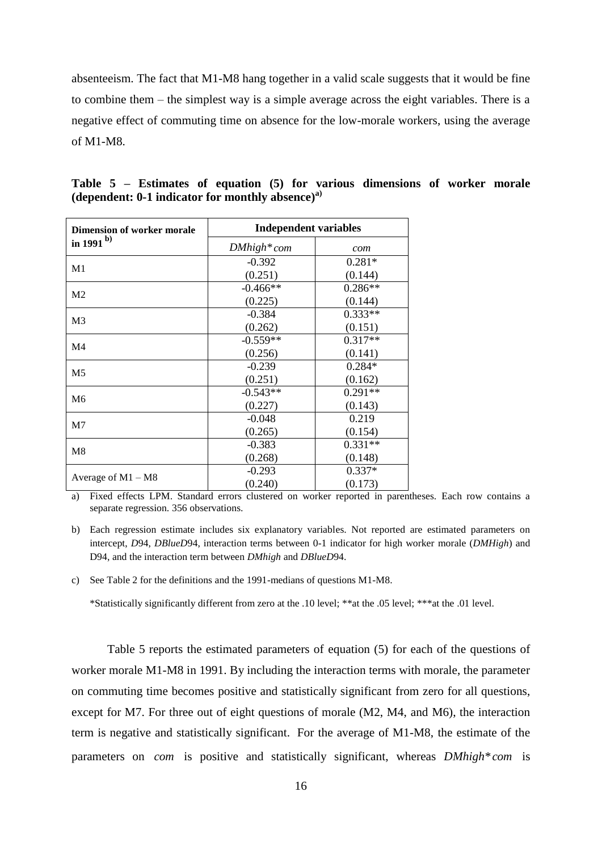absenteeism. The fact that M1-M8 hang together in a valid scale suggests that it would be fine to combine them – the simplest way is a simple average across the eight variables. There is a negative effect of commuting time on absence for the low-morale workers, using the average of M1-M8.

| <b>Dimension of worker morale</b> | <b>Independent variables</b> |           |  |  |  |  |
|-----------------------------------|------------------------------|-----------|--|--|--|--|
| in 1991 $^{\rm b)}$               | $DMhigh*com$                 | com       |  |  |  |  |
|                                   | $-0.392$                     | $0.281*$  |  |  |  |  |
| M1                                | (0.251)                      | (0.144)   |  |  |  |  |
| M <sub>2</sub>                    | $-0.466**$                   | $0.286**$ |  |  |  |  |
|                                   | (0.225)                      | (0.144)   |  |  |  |  |
| M <sub>3</sub>                    | $-0.384$                     | $0.333**$ |  |  |  |  |
|                                   | (0.262)                      | (0.151)   |  |  |  |  |
| M <sub>4</sub>                    | $-0.559**$                   | $0.317**$ |  |  |  |  |
|                                   | (0.256)                      | (0.141)   |  |  |  |  |
| M <sub>5</sub>                    | $-0.239$                     | $0.284*$  |  |  |  |  |
|                                   | (0.251)                      | (0.162)   |  |  |  |  |
| M <sub>6</sub>                    | $-0.543**$                   | $0.291**$ |  |  |  |  |
|                                   | (0.227)                      | (0.143)   |  |  |  |  |
| M7                                | $-0.048$                     | 0.219     |  |  |  |  |
|                                   | (0.265)                      | (0.154)   |  |  |  |  |
| M8                                | $-0.383$                     | $0.331**$ |  |  |  |  |
|                                   | (0.268)                      | (0.148)   |  |  |  |  |
|                                   | $-0.293$                     | $0.337*$  |  |  |  |  |
| Average of $M1 - M8$              | (0.240)                      | (0.173)   |  |  |  |  |

**Table 5 – Estimates of equation (5) for various dimensions of worker morale (dependent: 0-1 indicator for monthly absence) a)**

a) Fixed effects LPM. Standard errors clustered on worker reported in parentheses. Each row contains a separate regression. 356 observations.

c) See Table 2 for the definitions and the 1991-medians of questions M1-M8.

\*Statistically significantly different from zero at the .10 level; \*\*at the .05 level; \*\*\*at the .01 level.

Table 5 reports the estimated parameters of equation (5) for each of the questions of worker morale M1-M8 in 1991. By including the interaction terms with morale, the parameter on commuting time becomes positive and statistically significant from zero for all questions, except for M7. For three out of eight questions of morale (M2, M4, and M6), the interaction term is negative and statistically significant. For the average of M1-M8, the estimate of the parameters on *com* is positive and statistically significant, whereas *DMhigh\* com* is

b) Each regression estimate includes six explanatory variables. Not reported are estimated parameters on intercept, *D*94, *DBlueD*94, interaction terms between 0-1 indicator for high worker morale (*DMHigh*) and D94, and the interaction term between *DMhigh* and *DBlueD*94.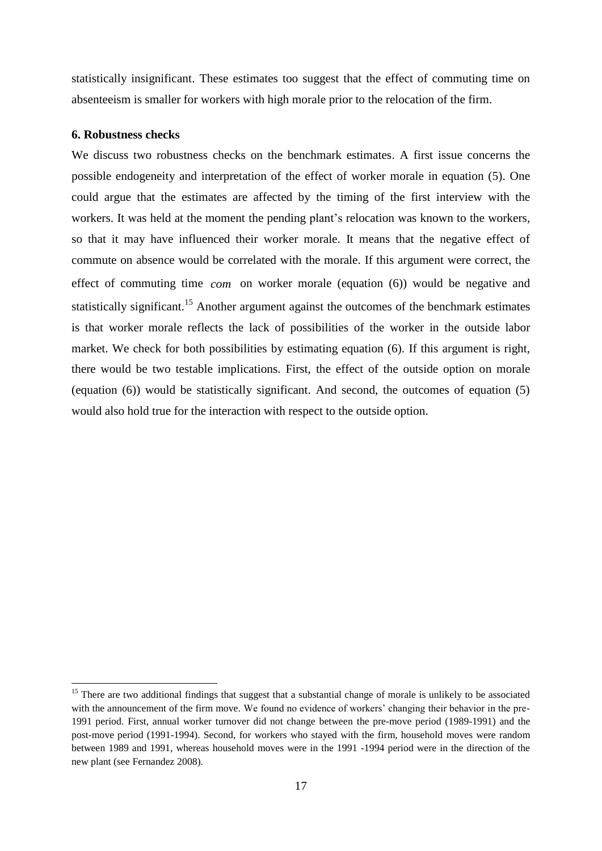statistically insignificant. These estimates too suggest that the effect of commuting time on absenteeism is smaller for workers with high morale prior to the relocation of the firm.

#### **6. Robustness checks**

1

We discuss two robustness checks on the benchmark estimates. A first issue concerns the possible endogeneity and interpretation of the effect of worker morale in equation (5). One could argue that the estimates are affected by the timing of the first interview with the workers. It was held at the moment the pending plant's relocation was known to the workers, so that it may have influenced their worker morale. It means that the negative effect of commute on absence would be correlated with the morale. If this argument were correct, the effect of commuting time *com* on worker morale (equation (6)) would be negative and statistically significant.<sup>15</sup> Another argument against the outcomes of the benchmark estimates is that worker morale reflects the lack of possibilities of the worker in the outside labor market. We check for both possibilities by estimating equation (6). If this argument is right, there would be two testable implications. First, the effect of the outside option on morale (equation (6)) would be statistically significant. And second, the outcomes of equation (5) would also hold true for the interaction with respect to the outside option.

<sup>&</sup>lt;sup>15</sup> There are two additional findings that suggest that a substantial change of morale is unlikely to be associated with the announcement of the firm move. We found no evidence of workers' changing their behavior in the pre-1991 period. First, annual worker turnover did not change between the pre-move period (1989-1991) and the post-move period (1991-1994). Second, for workers who stayed with the firm, household moves were random between 1989 and 1991, whereas household moves were in the 1991 -1994 period were in the direction of the new plant (see Fernandez 2008).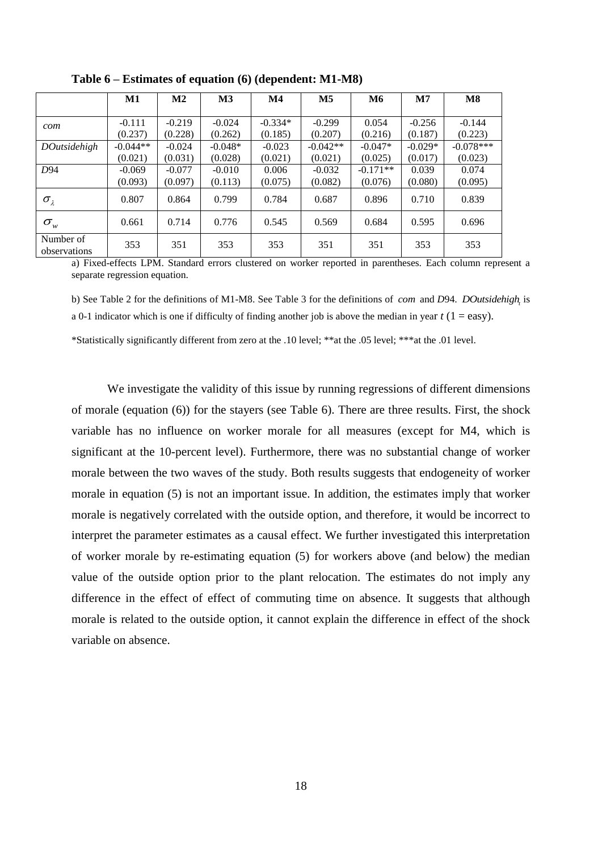|                           | M1         | $\mathbf{M2}$ | $\mathbf{M}3$ | $\mathbf{M}4$ | M <sub>5</sub> | <b>M6</b>  | $\mathbf{M}$ 7 | $\bf M8$    |
|---------------------------|------------|---------------|---------------|---------------|----------------|------------|----------------|-------------|
|                           |            |               |               |               |                |            |                |             |
| com                       | $-0.111$   | $-0.219$      | $-0.024$      | $-0.334*$     | $-0.299$       | 0.054      | $-0.256$       | $-0.144$    |
|                           | (0.237)    | (0.228)       | (0.262)       | (0.185)       | (0.207)        | (0.216)    | (0.187)        | (0.223)     |
| <b>DOutsidehigh</b>       | $-0.044**$ | $-0.024$      | $-0.048*$     | $-0.023$      | $-0.042**$     | $-0.047*$  | $-0.029*$      | $-0.078***$ |
|                           | (0.021)    | (0.031)       | (0.028)       | (0.021)       | (0.021)        | (0.025)    | (0.017)        | (0.023)     |
| D <sub>94</sub>           | $-0.069$   | $-0.077$      | $-0.010$      | 0.006         | $-0.032$       | $-0.171**$ | 0.039          | 0.074       |
|                           | (0.093)    | (0.097)       | (0.113)       | (0.075)       | (0.082)        | (0.076)    | (0.080)        | (0.095)     |
| $\sigma_{\lambda}$        | 0.807      | 0.864         | 0.799         | 0.784         | 0.687          | 0.896      | 0.710          | 0.839       |
| $\sigma_{\rm w}$          | 0.661      | 0.714         | 0.776         | 0.545         | 0.569          | 0.684      | 0.595          | 0.696       |
| Number of<br>observations | 353        | 351           | 353           | 353           | 351            | 351        | 353            | 353         |

**Table 6 – Estimates of equation (6) (dependent: M1-M8)**

a) Fixed-effects LPM. Standard errors clustered on worker reported in parentheses. Each column represent a separate regression equation.

b) See Table 2 for the definitions of M1-M8. See Table 3 for the definitions of *com* and *D*94. *DOutsidehigh<sup>t</sup>* is a 0-1 indicator which is one if difficulty of finding another job is above the median in year  $t$  (1 = easy).

\*Statistically significantly different from zero at the .10 level; \*\*at the .05 level; \*\*\*at the .01 level.

We investigate the validity of this issue by running regressions of different dimensions of morale (equation (6)) for the stayers (see Table 6). There are three results. First, the shock variable has no influence on worker morale for all measures (except for M4, which is significant at the 10-percent level). Furthermore, there was no substantial change of worker morale between the two waves of the study. Both results suggests that endogeneity of worker morale in equation (5) is not an important issue. In addition, the estimates imply that worker morale is negatively correlated with the outside option, and therefore, it would be incorrect to interpret the parameter estimates as a causal effect. We further investigated this interpretation of worker morale by re-estimating equation (5) for workers above (and below) the median value of the outside option prior to the plant relocation. The estimates do not imply any difference in the effect of effect of commuting time on absence. It suggests that although morale is related to the outside option, it cannot explain the difference in effect of the shock variable on absence.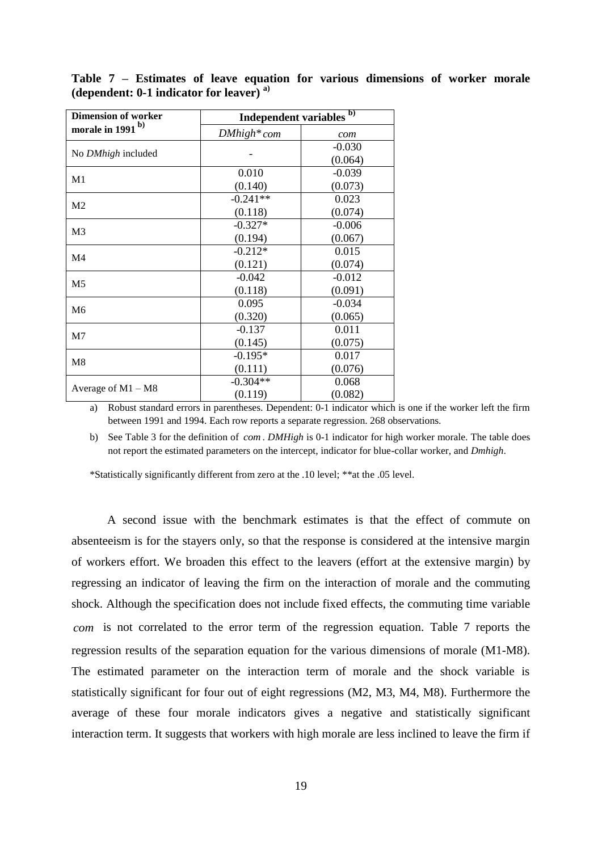| <b>Dimension of worker</b>   | Independent variables <sup>b)</sup> |          |  |  |  |
|------------------------------|-------------------------------------|----------|--|--|--|
| morale in 1991 <sup>b)</sup> | $DMhigh*com$                        | com      |  |  |  |
|                              |                                     | $-0.030$ |  |  |  |
| No DMhigh included           |                                     | (0.064)  |  |  |  |
| M1                           | 0.010                               | $-0.039$ |  |  |  |
|                              | (0.140)                             | (0.073)  |  |  |  |
| M <sub>2</sub>               | $-0.241**$                          | 0.023    |  |  |  |
|                              | (0.118)                             | (0.074)  |  |  |  |
| M <sub>3</sub>               | $-0.327*$                           | $-0.006$ |  |  |  |
|                              | (0.194)                             | (0.067)  |  |  |  |
|                              | $-0.212*$                           | 0.015    |  |  |  |
| M <sub>4</sub>               | (0.121)                             | (0.074)  |  |  |  |
|                              | $-0.042$                            | $-0.012$ |  |  |  |
| M <sub>5</sub>               | (0.118)                             | (0.091)  |  |  |  |
| M <sub>6</sub>               | 0.095                               | $-0.034$ |  |  |  |
|                              | (0.320)                             | (0.065)  |  |  |  |
| M <sub>7</sub>               | $-0.137$                            | 0.011    |  |  |  |
|                              | (0.145)                             | (0.075)  |  |  |  |
| M8                           | $-0.195*$                           | 0.017    |  |  |  |
|                              | (0.111)                             | (0.076)  |  |  |  |
|                              | $-0.304**$                          | 0.068    |  |  |  |
| Average of $M1 - M8$         | (0.119)                             | (0.082)  |  |  |  |

**Table 7 – Estimates of leave equation for various dimensions of worker morale (dependent: 0-1 indicator for leaver) a)**

a) Robust standard errors in parentheses. Dependent: 0-1 indicator which is one if the worker left the firm between 1991 and 1994. Each row reports a separate regression. 268 observations.

b) See Table 3 for the definition of *com* . *DMHigh* is 0-1 indicator for high worker morale. The table does not report the estimated parameters on the intercept, indicator for blue-collar worker, and *Dmhigh*.

\*Statistically significantly different from zero at the .10 level; \*\*at the .05 level.

A second issue with the benchmark estimates is that the effect of commute on absenteeism is for the stayers only, so that the response is considered at the intensive margin of workers effort. We broaden this effect to the leavers (effort at the extensive margin) by regressing an indicator of leaving the firm on the interaction of morale and the commuting shock. Although the specification does not include fixed effects, the commuting time variable *com* is not correlated to the error term of the regression equation. Table 7 reports the regression results of the separation equation for the various dimensions of morale (M1-M8). The estimated parameter on the interaction term of morale and the shock variable is statistically significant for four out of eight regressions (M2, M3, M4, M8). Furthermore the average of these four morale indicators gives a negative and statistically significant interaction term. It suggests that workers with high morale are less inclined to leave the firm if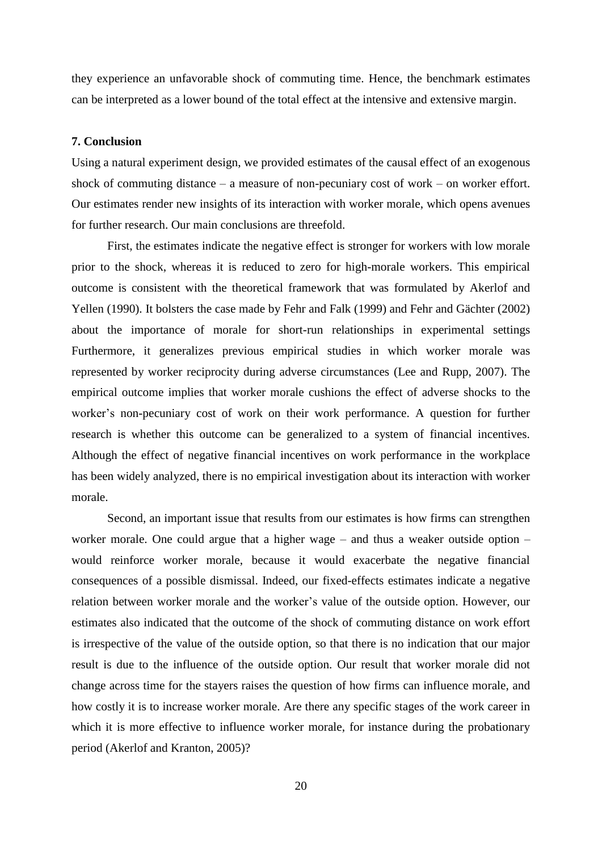they experience an unfavorable shock of commuting time. Hence, the benchmark estimates can be interpreted as a lower bound of the total effect at the intensive and extensive margin.

#### **7. Conclusion**

Using a natural experiment design, we provided estimates of the causal effect of an exogenous shock of commuting distance – a measure of non-pecuniary cost of work – on worker effort. Our estimates render new insights of its interaction with worker morale, which opens avenues for further research. Our main conclusions are threefold.

First, the estimates indicate the negative effect is stronger for workers with low morale prior to the shock, whereas it is reduced to zero for high-morale workers. This empirical outcome is consistent with the theoretical framework that was formulated by Akerlof and Yellen (1990). It bolsters the case made by Fehr and Falk (1999) and Fehr and Gächter (2002) about the importance of morale for short-run relationships in experimental settings Furthermore, it generalizes previous empirical studies in which worker morale was represented by worker reciprocity during adverse circumstances (Lee and Rupp, 2007). The empirical outcome implies that worker morale cushions the effect of adverse shocks to the worker's non-pecuniary cost of work on their work performance. A question for further research is whether this outcome can be generalized to a system of financial incentives. Although the effect of negative financial incentives on work performance in the workplace has been widely analyzed, there is no empirical investigation about its interaction with worker morale.

Second, an important issue that results from our estimates is how firms can strengthen worker morale. One could argue that a higher wage – and thus a weaker outside option – would reinforce worker morale, because it would exacerbate the negative financial consequences of a possible dismissal. Indeed, our fixed-effects estimates indicate a negative relation between worker morale and the worker's value of the outside option. However, our estimates also indicated that the outcome of the shock of commuting distance on work effort is irrespective of the value of the outside option, so that there is no indication that our major result is due to the influence of the outside option. Our result that worker morale did not change across time for the stayers raises the question of how firms can influence morale, and how costly it is to increase worker morale. Are there any specific stages of the work career in which it is more effective to influence worker morale, for instance during the probationary period (Akerlof and Kranton, 2005)?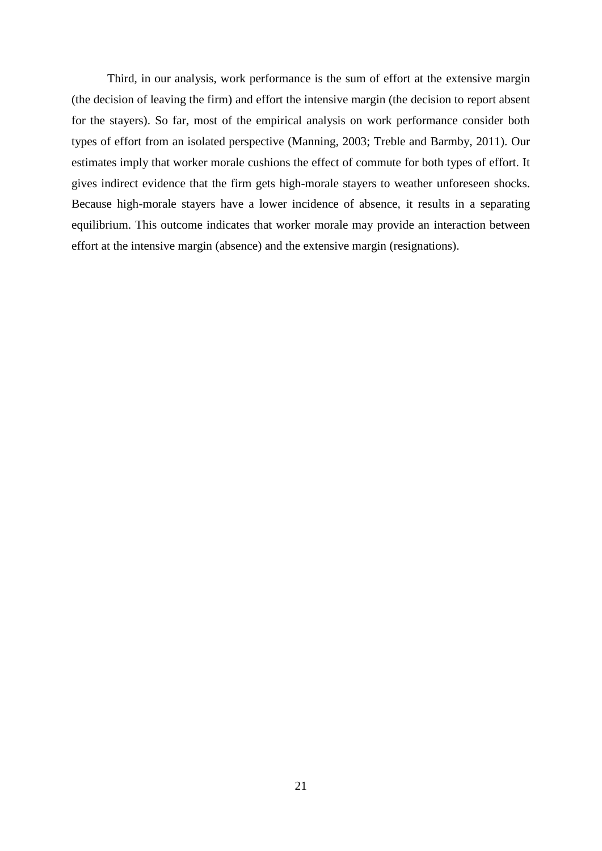Third, in our analysis, work performance is the sum of effort at the extensive margin (the decision of leaving the firm) and effort the intensive margin (the decision to report absent for the stayers). So far, most of the empirical analysis on work performance consider both types of effort from an isolated perspective (Manning, 2003; Treble and Barmby, 2011). Our estimates imply that worker morale cushions the effect of commute for both types of effort. It gives indirect evidence that the firm gets high-morale stayers to weather unforeseen shocks. Because high-morale stayers have a lower incidence of absence, it results in a separating equilibrium. This outcome indicates that worker morale may provide an interaction between effort at the intensive margin (absence) and the extensive margin (resignations).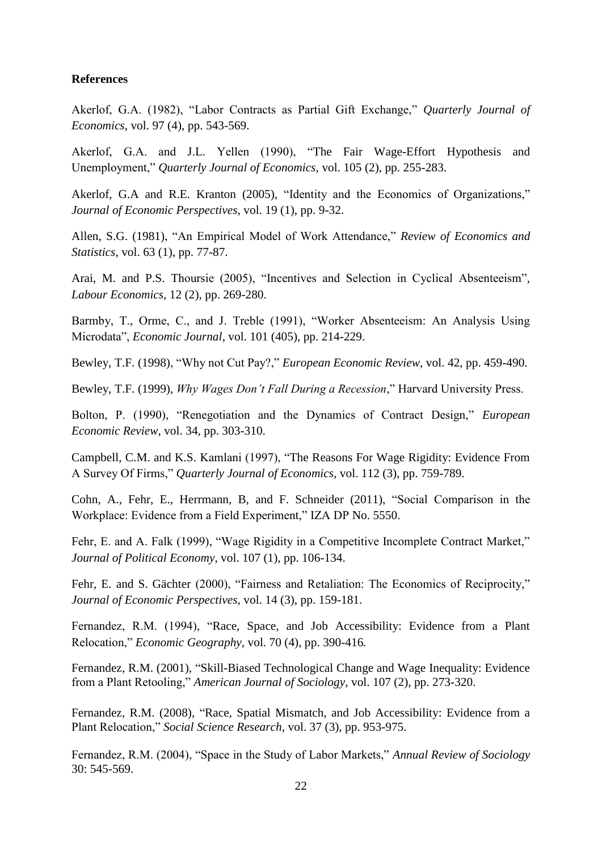#### **References**

Akerlof, G.A. (1982), "Labor Contracts as Partial Gift Exchange," *Quarterly Journal of Economics*, vol. 97 (4), pp. 543-569.

Akerlof, G.A. and J.L. Yellen (1990), "The Fair Wage-Effort Hypothesis and Unemployment," *Quarterly Journal of Economics,* vol. 105 (2), pp. 255-283.

Akerlof, G.A and R.E. Kranton (2005), "Identity and the Economics of Organizations," *Journal of Economic Perspectives*, vol. 19 (1), pp. 9-32.

Allen, S.G. (1981), "An Empirical Model of Work Attendance," *Review of Economics and Statistics*, vol. 63 (1), pp. 77-87.

Arai, M. and P.S. Thoursie (2005), "Incentives and Selection in Cyclical Absenteeism", *Labour Economics*, 12 (2), pp. 269-280.

Barmby, T., Orme, C., and J. Treble (1991), "Worker Absenteeism: An Analysis Using Microdata", *Economic Journal*, vol. 101 (405), pp. 214-229.

Bewley, T.F. (1998), "Why not Cut Pay?," *European Economic Review*, vol. 42, pp. 459-490.

Bewley, T.F. (1999), *Why Wages Don't Fall During a Recession*," Harvard University Press.

Bolton, P. (1990), "Renegotiation and the Dynamics of Contract Design," *European Economic Review*, vol. 34, pp. 303-310.

Campbell, C.M. and K.S. Kamlani (1997), "The Reasons For Wage Rigidity: Evidence From A Survey Of Firms," *Quarterly Journal of Economics*, vol. 112 (3), pp. 759-789.

Cohn, A., Fehr, E., Herrmann, B, and F. Schneider (2011), "Social Comparison in the Workplace: Evidence from a Field Experiment," IZA DP No. 5550.

Fehr, E. and A. Falk (1999), "Wage Rigidity in a Competitive Incomplete Contract Market," *Journal of Political Economy*, vol. 107 (1), pp. 106-134.

Fehr, E. and S. Gächter (2000), "Fairness and Retaliation: The Economics of Reciprocity," *Journal of Economic Perspectives*, vol. 14 (3), pp. 159-181.

Fernandez, R.M. (1994), "Race, Space, and Job Accessibility: Evidence from a Plant Relocation," *Economic Geography,* vol. 70 (4), pp. 390-416*.*

Fernandez, R.M. (2001)*,* "Skill-Biased Technological Change and Wage Inequality: Evidence from a Plant Retooling," *American Journal of Sociology*, vol. 107 (2), pp. 273-320.

Fernandez, R.M. (2008)*,* "Race, Spatial Mismatch, and Job Accessibility: Evidence from a Plant Relocation," *Social Science Research*, vol. 37 (3), pp. 953-975.

Fernandez, R.M. (2004), "Space in the Study of Labor Markets," *Annual Review of Sociology*  30: 545-569.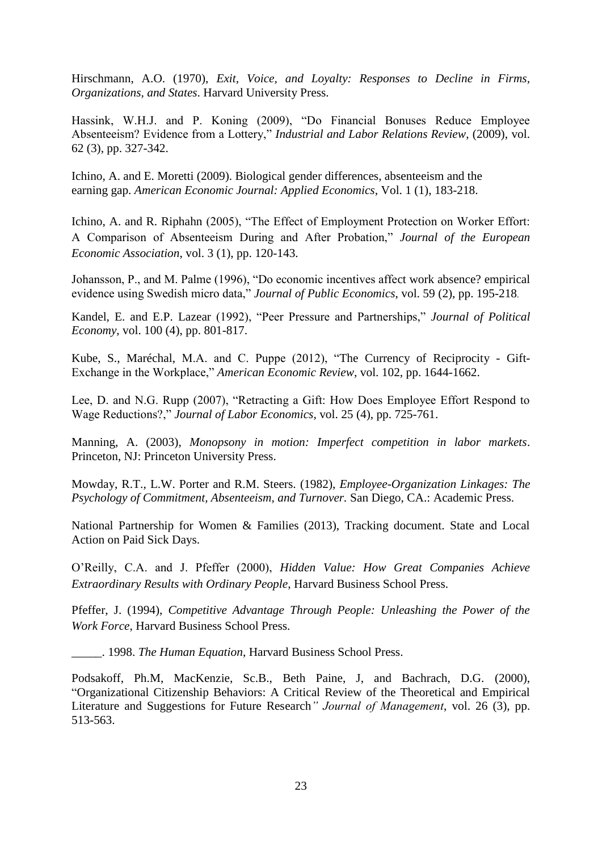Hirschmann, A.O. (1970), *Exit, Voice, and Loyalty: Responses to Decline in Firms, Organizations, and States*. Harvard University Press.

Hassink, W.H.J. and P. Koning (2009), "Do Financial Bonuses Reduce Employee Absenteeism? Evidence from a Lottery," *Industrial and Labor Relations Review*, (2009), vol. 62 (3), pp. 327-342.

Ichino, A. and E. Moretti (2009). Biological gender differences, absenteeism and the earning gap. *American Economic Journal: Applied Economics*, Vol. 1 (1), 183-218.

Ichino, A. and R. Riphahn (2005), "The Effect of Employment Protection on Worker Effort: A Comparison of Absenteeism During and After Probation," *Journal of the European Economic Association*, vol. 3 (1), pp. 120-143.

Johansson, P., and M. Palme (1996), "Do economic incentives affect work absence? empirical evidence using Swedish micro data," *Journal of Public Economics*, vol. 59 (2), pp. 195-218.

Kandel, E. and E.P. Lazear (1992), "Peer Pressure and Partnerships," *Journal of Political Economy*, vol. 100 (4), pp. 801-817.

Kube, S., Maréchal, M.A. and C. Puppe (2012), "The Currency of Reciprocity - Gift-Exchange in the Workplace," *American Economic Review*, vol. 102, pp. 1644-1662.

Lee, D. and N.G. Rupp (2007), "Retracting a Gift: How Does Employee Effort Respond to Wage Reductions?," *Journal of Labor Economics*, vol. 25 (4), pp. 725-761.

Manning, A. (2003), *Monopsony in motion: Imperfect competition in labor markets*. Princeton, NJ: Princeton University Press.

Mowday, R.T., L.W. Porter and R.M. Steers. (1982), *Employee-Organization Linkages: The Psychology of Commitment, Absenteeism, and Turnover.* San Diego, CA.: Academic Press.

National Partnership for Women & Families (2013), Tracking document. State and Local Action on Paid Sick Days.

O'Reilly, C.A. and J. Pfeffer (2000), *Hidden Value: How Great Companies Achieve Extraordinary Results with Ordinary People*, Harvard Business School Press.

Pfeffer, J. (1994), *Competitive Advantage Through People: Unleashing the Power of the Work Force*, Harvard Business School Press.

\_\_\_\_\_. 1998. *The Human Equation*, Harvard Business School Press.

Podsakoff, Ph.M, MacKenzie, Sc.B., Beth Paine, J, and Bachrach, D.G. (2000), "Organizational Citizenship Behaviors: A Critical Review of the Theoretical and Empirical Literature and Suggestions for Future Research*" Journal of Management*, vol. 26 (3), pp. 513-563.